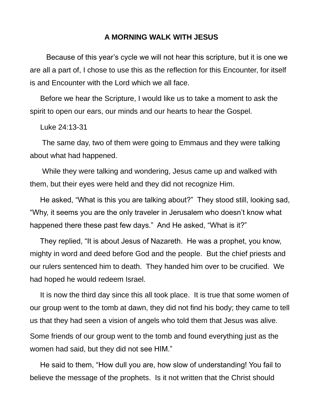## **A MORNING WALK WITH JESUS**

 Because of this year's cycle we will not hear this scripture, but it is one we are all a part of, I chose to use this as the reflection for this Encounter, for itself is and Encounter with the Lord which we all face.

 Before we hear the Scripture, I would like us to take a moment to ask the spirit to open our ears, our minds and our hearts to hear the Gospel.

Luke 24:13-31

 The same day, two of them were going to Emmaus and they were talking about what had happened.

 While they were talking and wondering, Jesus came up and walked with them, but their eyes were held and they did not recognize Him.

 He asked, "What is this you are talking about?" They stood still, looking sad, "Why, it seems you are the only traveler in Jerusalem who doesn't know what happened there these past few days." And He asked, "What is it?"

 They replied, "It is about Jesus of Nazareth. He was a prophet, you know, mighty in word and deed before God and the people. But the chief priests and our rulers sentenced him to death. They handed him over to be crucified. We had hoped he would redeem Israel.

 It is now the third day since this all took place. It is true that some women of our group went to the tomb at dawn, they did not find his body; they came to tell us that they had seen a vision of angels who told them that Jesus was alive. Some friends of our group went to the tomb and found everything just as the women had said, but they did not see HIM."

 He said to them, "How dull you are, how slow of understanding! You fail to believe the message of the prophets. Is it not written that the Christ should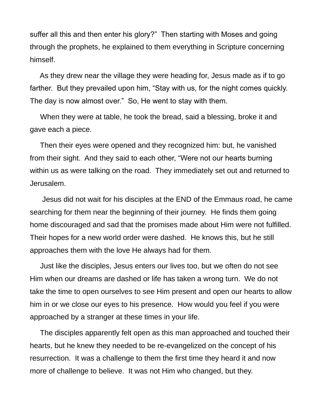suffer all this and then enter his glory?" Then starting with Moses and going through the prophets, he explained to them everything in Scripture concerning himself.

 As they drew near the village they were heading for, Jesus made as if to go farther. But they prevailed upon him, "Stay with us, for the night comes quickly. The day is now almost over." So, He went to stay with them.

 When they were at table, he took the bread, said a blessing, broke it and gave each a piece.

 Then their eyes were opened and they recognized him: but, he vanished from their sight. And they said to each other, "Were not our hearts burning within us as were talking on the road. They immediately set out and returned to Jerusalem.

 Jesus did not wait for his disciples at the END of the Emmaus road, he came searching for them near the beginning of their journey. He finds them going home discouraged and sad that the promises made about Him were not fulfilled. Their hopes for a new world order were dashed. He knows this, but he still approaches them with the love He always had for them.

 Just like the disciples, Jesus enters our lives too, but we often do not see Him when our dreams are dashed or life has taken a wrong turn. We do not take the time to open ourselves to see Him present and open our hearts to allow him in or we close our eyes to his presence. How would you feel if you were approached by a stranger at these times in your life.

 The disciples apparently felt open as this man approached and touched their hearts, but he knew they needed to be re-evangelized on the concept of his resurrection. It was a challenge to them the first time they heard it and now more of challenge to believe. It was not Him who changed, but they.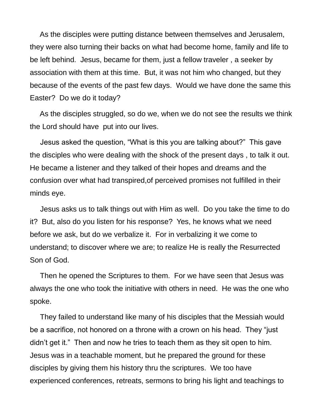As the disciples were putting distance between themselves and Jerusalem, they were also turning their backs on what had become home, family and life to be left behind. Jesus, became for them, just a fellow traveler , a seeker by association with them at this time. But, it was not him who changed, but they because of the events of the past few days. Would we have done the same this Easter? Do we do it today?

 As the disciples struggled, so do we, when we do not see the results we think the Lord should have put into our lives.

 Jesus asked the question, "What is this you are talking about?" This gave the disciples who were dealing with the shock of the present days , to talk it out. He became a listener and they talked of their hopes and dreams and the confusion over what had transpired,of perceived promises not fulfilled in their minds eye.

 Jesus asks us to talk things out with Him as well. Do you take the time to do it? But, also do you listen for his response? Yes, he knows what we need before we ask, but do we verbalize it. For in verbalizing it we come to understand; to discover where we are; to realize He is really the Resurrected Son of God.

 Then he opened the Scriptures to them. For we have seen that Jesus was always the one who took the initiative with others in need. He was the one who spoke.

 They failed to understand like many of his disciples that the Messiah would be a sacrifice, not honored on a throne with a crown on his head. They "just didn't get it." Then and now he tries to teach them as they sit open to him. Jesus was in a teachable moment, but he prepared the ground for these disciples by giving them his history thru the scriptures. We too have experienced conferences, retreats, sermons to bring his light and teachings to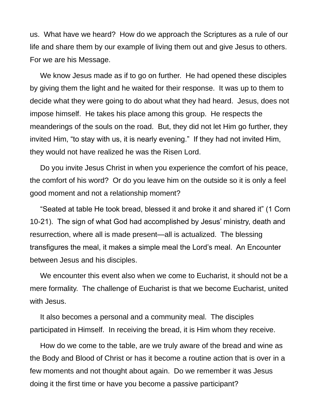us. What have we heard? How do we approach the Scriptures as a rule of our life and share them by our example of living them out and give Jesus to others. For we are his Message.

 We know Jesus made as if to go on further. He had opened these disciples by giving them the light and he waited for their response. It was up to them to decide what they were going to do about what they had heard. Jesus, does not impose himself. He takes his place among this group. He respects the meanderings of the souls on the road. But, they did not let Him go further, they invited Him, "to stay with us, it is nearly evening." If they had not invited Him, they would not have realized he was the Risen Lord.

 Do you invite Jesus Christ in when you experience the comfort of his peace, the comfort of his word? Or do you leave him on the outside so it is only a feel good moment and not a relationship moment?

 "Seated at table He took bread, blessed it and broke it and shared it" (1 Corn 10-21). The sign of what God had accomplished by Jesus' ministry, death and resurrection, where all is made present—all is actualized. The blessing transfigures the meal, it makes a simple meal the Lord's meal. An Encounter between Jesus and his disciples.

 We encounter this event also when we come to Eucharist, it should not be a mere formality. The challenge of Eucharist is that we become Eucharist, united with Jesus.

 It also becomes a personal and a community meal. The disciples participated in Himself. In receiving the bread, it is Him whom they receive.

 How do we come to the table, are we truly aware of the bread and wine as the Body and Blood of Christ or has it become a routine action that is over in a few moments and not thought about again. Do we remember it was Jesus doing it the first time or have you become a passive participant?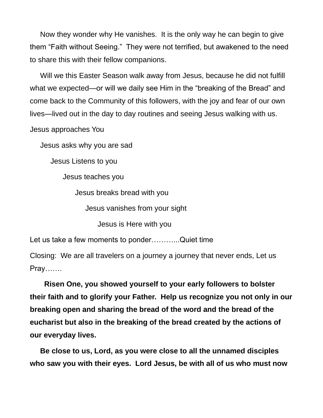Now they wonder why He vanishes. It is the only way he can begin to give them "Faith without Seeing." They were not terrified, but awakened to the need to share this with their fellow companions.

 Will we this Easter Season walk away from Jesus, because he did not fulfill what we expected—or will we daily see Him in the "breaking of the Bread" and come back to the Community of this followers, with the joy and fear of our own lives—lived out in the day to day routines and seeing Jesus walking with us.

Jesus approaches You

Jesus asks why you are sad

Jesus Listens to you

Jesus teaches you

Jesus breaks bread with you

Jesus vanishes from your sight

Jesus is Here with you

Let us take a few moments to ponder...........Quiet time

Closing: We are all travelers on a journey a journey that never ends, Let us Pray…….

 **Risen One, you showed yourself to your early followers to bolster their faith and to glorify your Father. Help us recognize you not only in our breaking open and sharing the bread of the word and the bread of the eucharist but also in the breaking of the bread created by the actions of our everyday lives.**

 **Be close to us, Lord, as you were close to all the unnamed disciples who saw you with their eyes. Lord Jesus, be with all of us who must now**